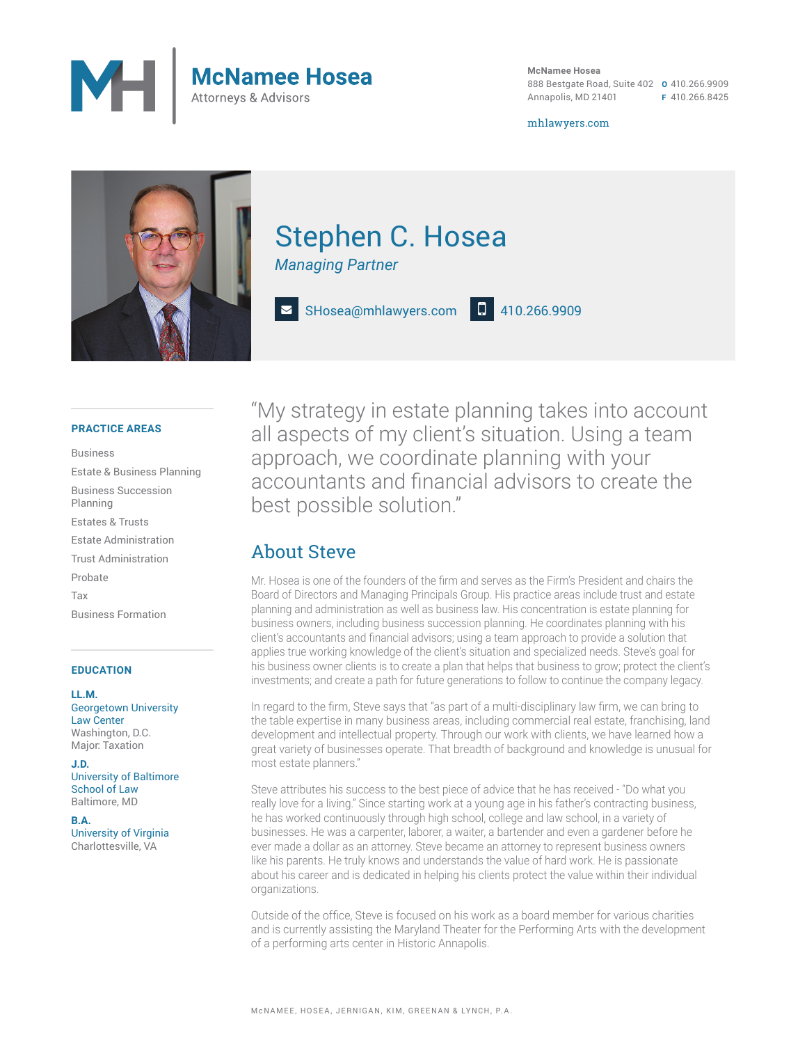

**McNamee Hosea** 888 Bestgate Road, Suite 402 **O** 410.266.9909 Annapolis, MD 21401 **F** 410.266.8425

mhlawyers.com



# Stephen C. Hosea

*Managing Partner*

SHosea@mhlawyers.com **C** 410.266.9909

#### **PRACTICE AREAS**

Business Estate & Business Planning Business Succession Planning Estates & Trusts Estate Administration Trust Administration Probate Tax Business Formation

#### **EDUCATION**

**LL.M.** Georgetown University Law Center Washington, D.C. Major: Taxation

**J.D.** University of Baltimore School of Law Baltimore, MD

**B.A.** University of Virginia Charlottesville, VA

"My strategy in estate planning takes into account all aspects of my client's situation. Using a team approach, we coordinate planning with your accountants and financial advisors to create the best possible solution."

### About Steve

Mr. Hosea is one of the founders of the firm and serves as the Firm's President and chairs the Board of Directors and Managing Principals Group. His practice areas include trust and estate planning and administration as well as business law. His concentration is estate planning for business owners, including business succession planning. He coordinates planning with his client's accountants and financial advisors; using a team approach to provide a solution that applies true working knowledge of the client's situation and specialized needs. Steve's goal for his business owner clients is to create a plan that helps that business to grow; protect the client's investments; and create a path for future generations to follow to continue the company legacy.

In regard to the firm, Steve says that "as part of a multi-disciplinary law firm, we can bring to the table expertise in many business areas, including commercial real estate, franchising, land development and intellectual property. Through our work with clients, we have learned how a great variety of businesses operate. That breadth of background and knowledge is unusual for most estate planners."

Steve attributes his success to the best piece of advice that he has received - "Do what you really love for a living." Since starting work at a young age in his father's contracting business, he has worked continuously through high school, college and law school, in a variety of businesses. He was a carpenter, laborer, a waiter, a bartender and even a gardener before he ever made a dollar as an attorney. Steve became an attorney to represent business owners like his parents. He truly knows and understands the value of hard work. He is passionate about his career and is dedicated in helping his clients protect the value within their individual organizations.

Outside of the office, Steve is focused on his work as a board member for various charities and is currently assisting the Maryland Theater for the Performing Arts with the development of a performing arts center in Historic Annapolis.